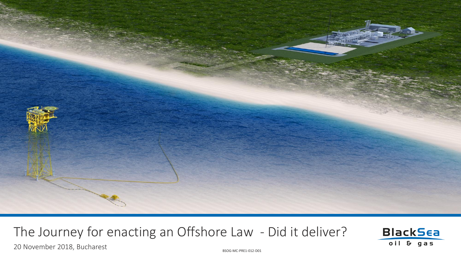

## The Journey for enacting an Offshore Law - Did it deliver?





BSOG-MC-PRE1-012-D01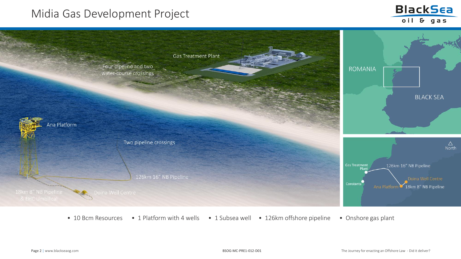## Midia Gas Development Project





- 
- 10 Bcm Resources 1 Platform with 4 wells 1 Subsea well 126km offshore pipeline Onshore gas plant
	-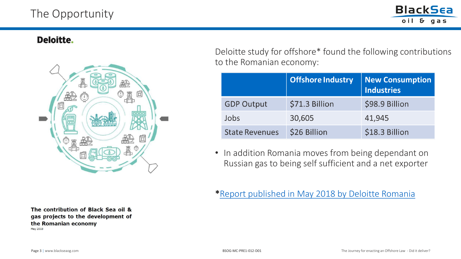## The Opportunity



#### Deloitte.



The contribution of Black Sea oil & gas projects to the development of the Romanian economy May 2018

Deloitte study for offshore\* found the following contributions to the Romanian economy:

|                       | <b>Offshore Industry</b> | <b>New Consumption</b><br><b>Industries</b> |
|-----------------------|--------------------------|---------------------------------------------|
| <b>GDP Output</b>     | \$71.3 Billion           | \$98.9 Billion                              |
| Jobs                  | 30,605                   | 41,945                                      |
| <b>State Revenues</b> | \$26 Billion             | \$18.3 Billion                              |

• In addition Romania moves from being dependant on Russian gas to being self sufficient and a net exporter

### \*[Report published in May 2018 by Deloitte Romania](https://www2.deloitte.com/content/dam/Deloitte/ro/Documents/ImpRepOffshoreProjects_ENG.PDF)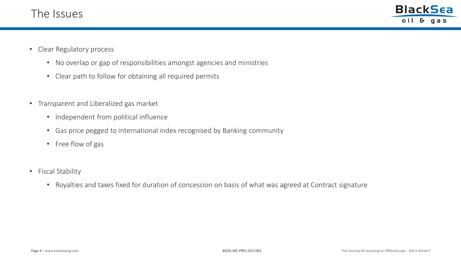

- Clear Regulatory process
	- No overlap or gap of responsibilities amongst agencies and ministries
	- Clear path to follow for obtaining all required permits
- Transparent and Liberalized gas market
	- Independent from political influence
	- Gas price pegged to international index recognised by Banking community
	- Free flow of gas
- Fiscal Stability
	- Royalties and taxes fixed for duration of concession on basis of what was agreed at Contract signature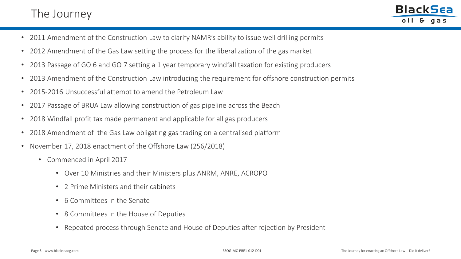## The Journey

**BlackSea** oil & gas

- 2011 Amendment of the Construction Law to clarify NAMR's ability to issue well drilling permits
- 2012 Amendment of the Gas Law setting the process for the liberalization of the gas market
- 2013 Passage of GO 6 and GO 7 setting a 1 year temporary windfall taxation for existing producers
- 2013 Amendment of the Construction Law introducing the requirement for offshore construction permits
- 2015-2016 Unsuccessful attempt to amend the Petroleum Law
- 2017 Passage of BRUA Law allowing construction of gas pipeline across the Beach
- 2018 Windfall profit tax made permanent and applicable for all gas producers
- 2018 Amendment of the Gas Law obligating gas trading on a centralised platform
- November 17, 2018 enactment of the Offshore Law (256/2018)
	- Commenced in April 2017
		- Over 10 Ministries and their Ministers plus ANRM, ANRE, ACROPO
		- 2 Prime Ministers and their cabinets
		- 6 Committees in the Senate
		- 8 Committees in the House of Deputies
		- Repeated process through Senate and House of Deputies after rejection by President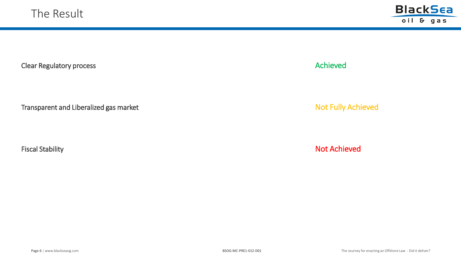

Clear Regulatory process and the control of the control of the control of the control of the control of the control of the control of the control of the control of the control of the control of the control of the control o

Transparent and Liberalized gas market **Not Fully Achieved** Not Fully Achieved

Fiscal Stability **Not Achieved Not Achieved**